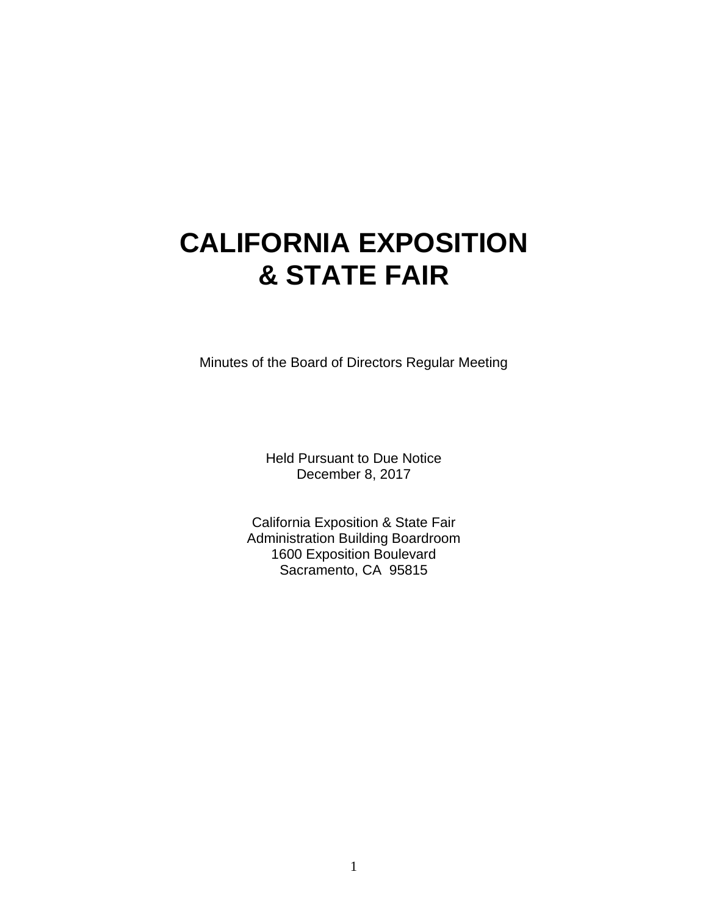# **CALIFORNIA EXPOSITION & STATE FAIR**

Minutes of the Board of Directors Regular Meeting

Held Pursuant to Due Notice December 8, 2017

California Exposition & State Fair Administration Building Boardroom 1600 Exposition Boulevard Sacramento, CA 95815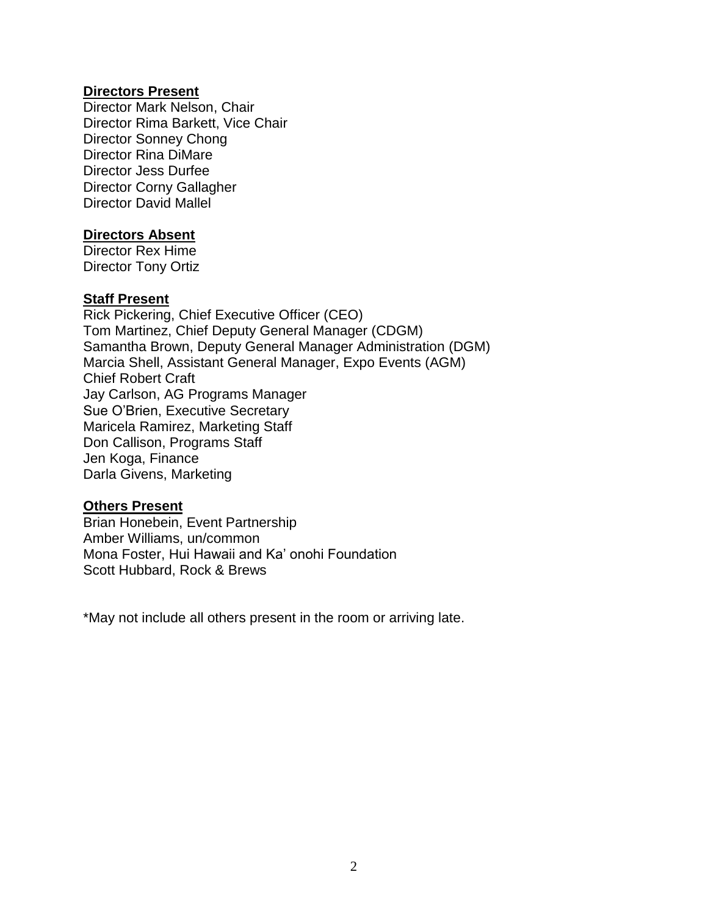#### **Directors Present**

Director Mark Nelson, Chair Director Rima Barkett, Vice Chair Director Sonney Chong Director Rina DiMare Director Jess Durfee Director Corny Gallagher Director David Mallel

#### **Directors Absent**

Director Rex Hime Director Tony Ortiz

## **Staff Present**

Rick Pickering, Chief Executive Officer (CEO) Tom Martinez, Chief Deputy General Manager (CDGM) Samantha Brown, Deputy General Manager Administration (DGM) Marcia Shell, Assistant General Manager, Expo Events (AGM) Chief Robert Craft Jay Carlson, AG Programs Manager Sue O'Brien, Executive Secretary Maricela Ramirez, Marketing Staff Don Callison, Programs Staff Jen Koga, Finance Darla Givens, Marketing

#### **Others Present**

Brian Honebein, Event Partnership Amber Williams, un/common Mona Foster, Hui Hawaii and Ka' onohi Foundation Scott Hubbard, Rock & Brews

\*May not include all others present in the room or arriving late.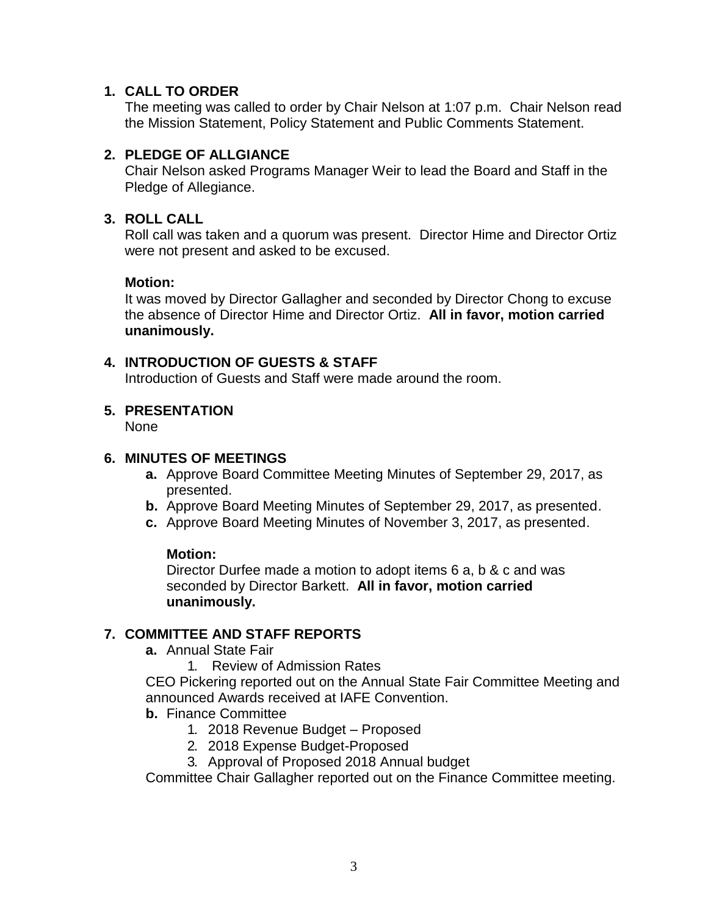#### **1. CALL TO ORDER**

The meeting was called to order by Chair Nelson at 1:07 p.m. Chair Nelson read the Mission Statement, Policy Statement and Public Comments Statement.

## **2. PLEDGE OF ALLGIANCE**

Chair Nelson asked Programs Manager Weir to lead the Board and Staff in the Pledge of Allegiance.

## **3. ROLL CALL**

Roll call was taken and a quorum was present. Director Hime and Director Ortiz were not present and asked to be excused.

## **Motion:**

It was moved by Director Gallagher and seconded by Director Chong to excuse the absence of Director Hime and Director Ortiz. **All in favor, motion carried unanimously.**

## **4. INTRODUCTION OF GUESTS & STAFF**

Introduction of Guests and Staff were made around the room.

## **5. PRESENTATION**

None

## **6. MINUTES OF MEETINGS**

- **a.** Approve Board Committee Meeting Minutes of September 29, 2017, as presented.
- **b.** Approve Board Meeting Minutes of September 29, 2017, as presented.
- **c.** Approve Board Meeting Minutes of November 3, 2017, as presented.

#### **Motion:**

Director Durfee made a motion to adopt items 6 a, b & c and was seconded by Director Barkett. **All in favor, motion carried unanimously.**

#### **7. COMMITTEE AND STAFF REPORTS**

- **a.** Annual State Fair
	- 1. Review of Admission Rates

CEO Pickering reported out on the Annual State Fair Committee Meeting and announced Awards received at IAFE Convention.

#### **b.** Finance Committee

- 1. 2018 Revenue Budget Proposed
- 2. 2018 Expense Budget-Proposed
- 3. Approval of Proposed 2018 Annual budget

Committee Chair Gallagher reported out on the Finance Committee meeting.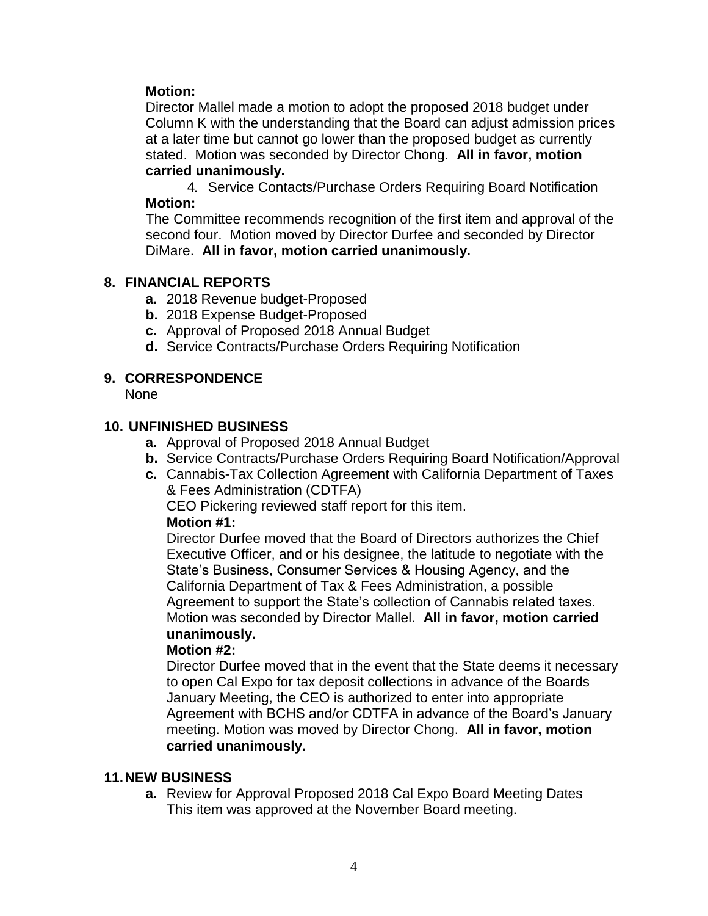## **Motion:**

Director Mallel made a motion to adopt the proposed 2018 budget under Column K with the understanding that the Board can adjust admission prices at a later time but cannot go lower than the proposed budget as currently stated. Motion was seconded by Director Chong. **All in favor, motion carried unanimously.**

4. Service Contacts/Purchase Orders Requiring Board Notification **Motion:**

The Committee recommends recognition of the first item and approval of the second four. Motion moved by Director Durfee and seconded by Director DiMare. **All in favor, motion carried unanimously.**

## **8. FINANCIAL REPORTS**

- **a.** 2018 Revenue budget-Proposed
- **b.** 2018 Expense Budget-Proposed
- **c.** Approval of Proposed 2018 Annual Budget
- **d.** Service Contracts/Purchase Orders Requiring Notification

## **9. CORRESPONDENCE**

None

## **10. UNFINISHED BUSINESS**

- **a.** Approval of Proposed 2018 Annual Budget
- **b.** Service Contracts/Purchase Orders Requiring Board Notification/Approval
- **c.** Cannabis-Tax Collection Agreement with California Department of Taxes & Fees Administration (CDTFA)

CEO Pickering reviewed staff report for this item.

#### **Motion #1:**

Director Durfee moved that the Board of Directors authorizes the Chief Executive Officer, and or his designee, the latitude to negotiate with the State's Business, Consumer Services & Housing Agency, and the California Department of Tax & Fees Administration, a possible Agreement to support the State's collection of Cannabis related taxes. Motion was seconded by Director Mallel. **All in favor, motion carried unanimously.**

#### **Motion #2:**

Director Durfee moved that in the event that the State deems it necessary to open Cal Expo for tax deposit collections in advance of the Boards January Meeting, the CEO is authorized to enter into appropriate Agreement with BCHS and/or CDTFA in advance of the Board's January meeting. Motion was moved by Director Chong. **All in favor, motion carried unanimously.**

#### **11.NEW BUSINESS**

**a.** Review for Approval Proposed 2018 Cal Expo Board Meeting Dates This item was approved at the November Board meeting.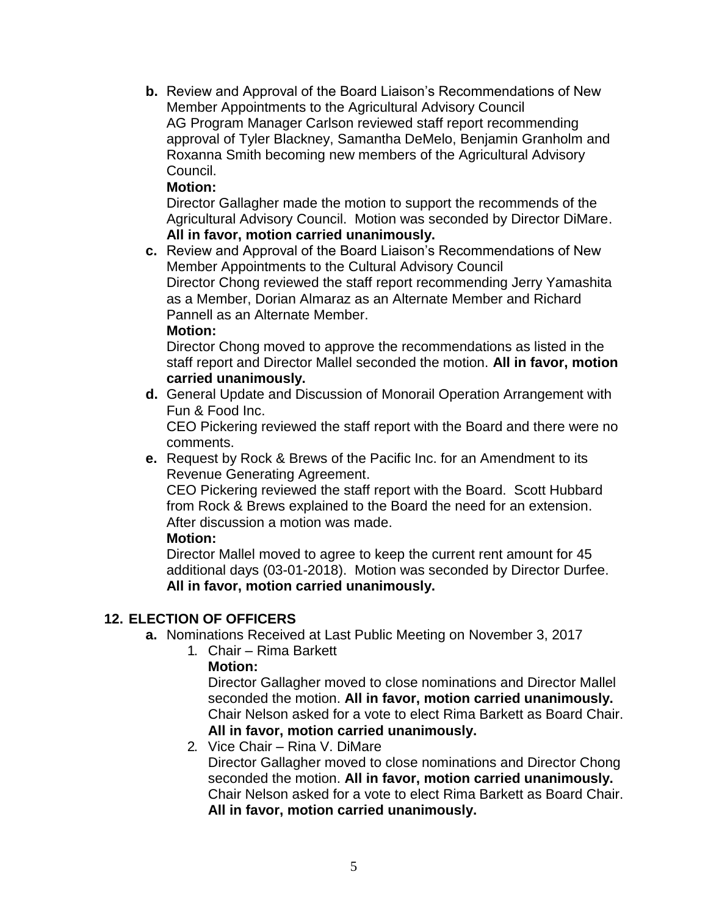**b.** Review and Approval of the Board Liaison's Recommendations of New Member Appointments to the Agricultural Advisory Council AG Program Manager Carlson reviewed staff report recommending approval of Tyler Blackney, Samantha DeMelo, Benjamin Granholm and Roxanna Smith becoming new members of the Agricultural Advisory Council.

## **Motion:**

Director Gallagher made the motion to support the recommends of the Agricultural Advisory Council. Motion was seconded by Director DiMare. **All in favor, motion carried unanimously.**

**c.** Review and Approval of the Board Liaison's Recommendations of New Member Appointments to the Cultural Advisory Council Director Chong reviewed the staff report recommending Jerry Yamashita as a Member, Dorian Almaraz as an Alternate Member and Richard Pannell as an Alternate Member.

## **Motion:**

Director Chong moved to approve the recommendations as listed in the staff report and Director Mallel seconded the motion. **All in favor, motion carried unanimously.**

**d.** General Update and Discussion of Monorail Operation Arrangement with Fun & Food Inc.

CEO Pickering reviewed the staff report with the Board and there were no comments.

**e.** Request by Rock & Brews of the Pacific Inc. for an Amendment to its Revenue Generating Agreement.

CEO Pickering reviewed the staff report with the Board. Scott Hubbard from Rock & Brews explained to the Board the need for an extension. After discussion a motion was made.

#### **Motion:**

Director Mallel moved to agree to keep the current rent amount for 45 additional days (03-01-2018). Motion was seconded by Director Durfee. **All in favor, motion carried unanimously.**

## **12. ELECTION OF OFFICERS**

- **a.** Nominations Received at Last Public Meeting on November 3, 2017
	- 1. Chair Rima Barkett

## **Motion:**

Director Gallagher moved to close nominations and Director Mallel seconded the motion. **All in favor, motion carried unanimously.** Chair Nelson asked for a vote to elect Rima Barkett as Board Chair. **All in favor, motion carried unanimously.**

2. Vice Chair – Rina V. DiMare Director Gallagher moved to close nominations and Director Chong seconded the motion. **All in favor, motion carried unanimously.** Chair Nelson asked for a vote to elect Rima Barkett as Board Chair. **All in favor, motion carried unanimously.**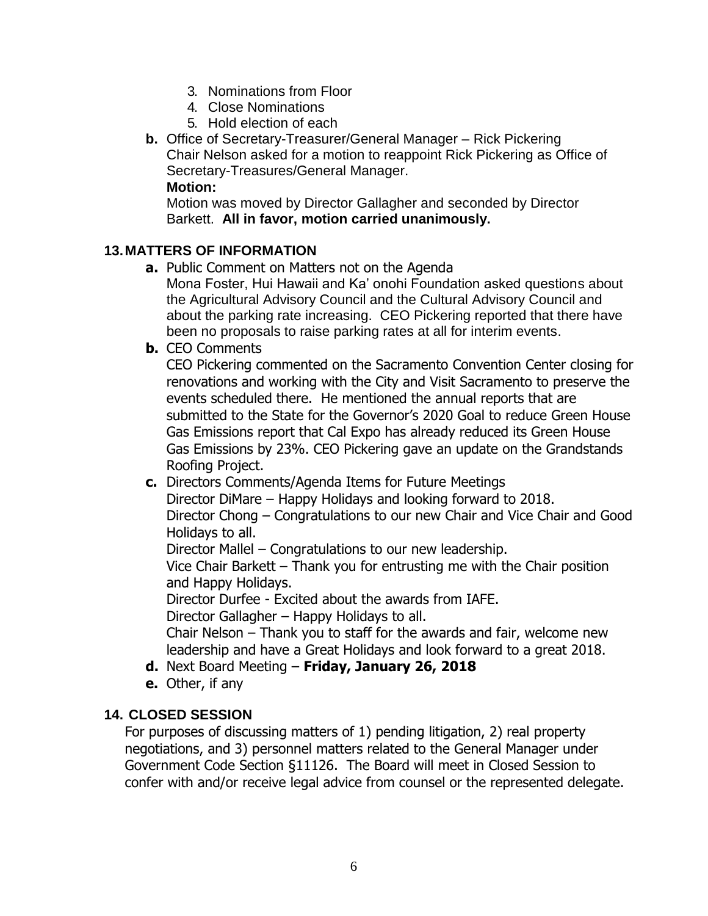- 3. Nominations from Floor
- 4. Close Nominations
- 5. Hold election of each
- **b.** Office of Secretary-Treasurer/General Manager Rick Pickering Chair Nelson asked for a motion to reappoint Rick Pickering as Office of Secretary-Treasures/General Manager.

#### **Motion:**

Motion was moved by Director Gallagher and seconded by Director Barkett. **All in favor, motion carried unanimously.**

## **13.MATTERS OF INFORMATION**

**a.** Public Comment on Matters not on the Agenda

Mona Foster, Hui Hawaii and Ka' onohi Foundation asked questions about the Agricultural Advisory Council and the Cultural Advisory Council and about the parking rate increasing. CEO Pickering reported that there have been no proposals to raise parking rates at all for interim events.

**b.** CEO Comments

CEO Pickering commented on the Sacramento Convention Center closing for renovations and working with the City and Visit Sacramento to preserve the events scheduled there. He mentioned the annual reports that are submitted to the State for the Governor's 2020 Goal to reduce Green House Gas Emissions report that Cal Expo has already reduced its Green House Gas Emissions by 23%. CEO Pickering gave an update on the Grandstands Roofing Project.

**c.** Directors Comments/Agenda Items for Future Meetings

Director DiMare – Happy Holidays and looking forward to 2018. Director Chong – Congratulations to our new Chair and Vice Chair and Good Holidays to all.

Director Mallel – Congratulations to our new leadership.

Vice Chair Barkett – Thank you for entrusting me with the Chair position and Happy Holidays.

Director Durfee - Excited about the awards from IAFE.

Director Gallagher – Happy Holidays to all.

Chair Nelson – Thank you to staff for the awards and fair, welcome new leadership and have a Great Holidays and look forward to a great 2018.

- **d.** Next Board Meeting **Friday, January 26, 2018**
- **e.** Other, if any

## **14. CLOSED SESSION**

For purposes of discussing matters of 1) pending litigation, 2) real property negotiations, and 3) personnel matters related to the General Manager under Government Code Section §11126. The Board will meet in Closed Session to confer with and/or receive legal advice from counsel or the represented delegate.